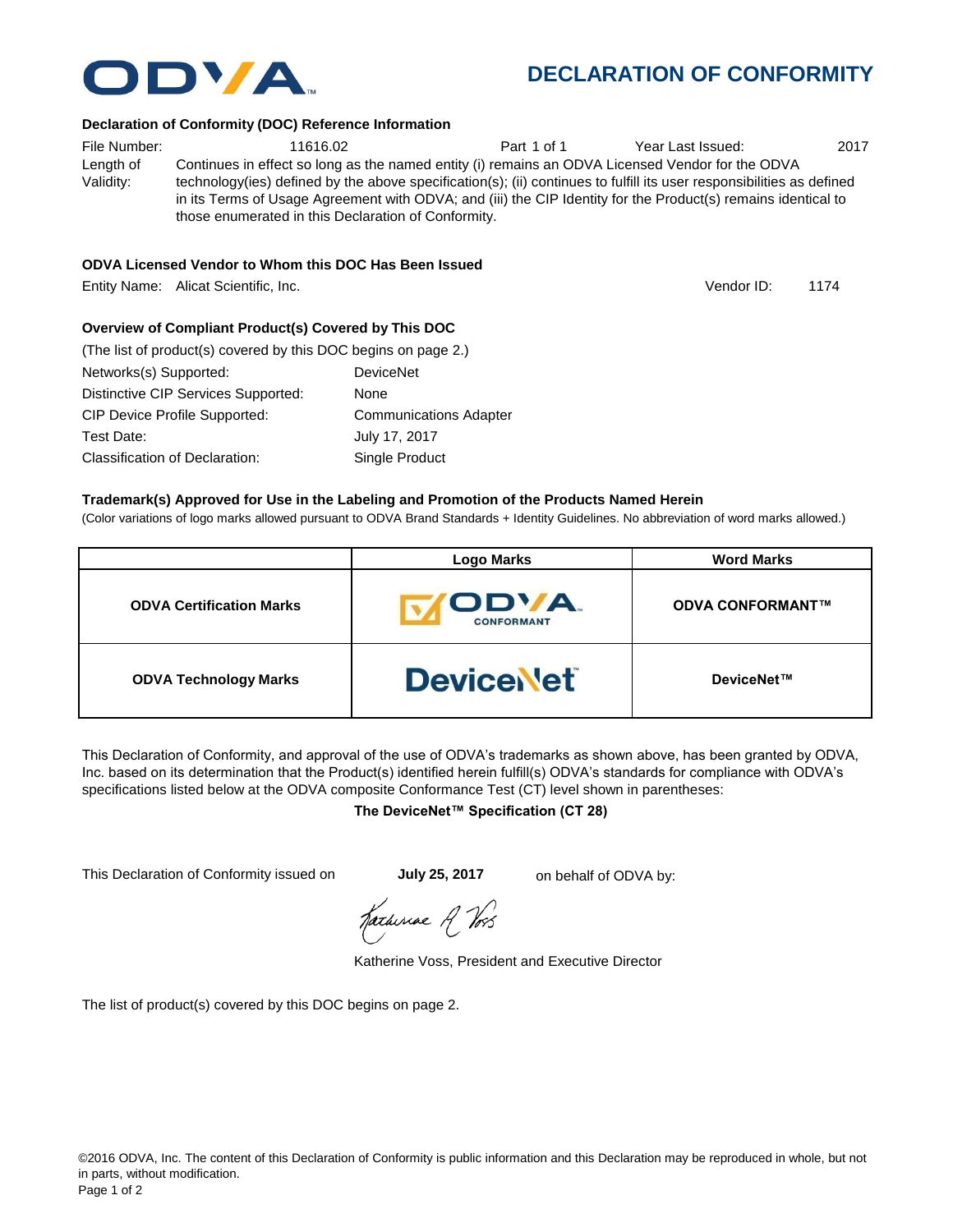## **DECLARATION OF CONFORMITY**

#### **Declaration of Conformity (DOC) Reference Information**

File Number:  $11616.02$  Part 1 of 1 Year Last Issued: 2017 Length of Validity: Continues in effect so long as the named entity (i) remains an ODVA Licensed Vendor for the ODVA technology(ies) defined by the above specification(s); (ii) continues to fulfill its user responsibilities as defined in its Terms of Usage Agreement with ODVA; and (iii) the CIP Identity for the Product(s) remains identical to those enumerated in this Declaration of Conformity.

## **ODVA Licensed Vendor to Whom this DOC Has Been Issued**

Entity Name: Alicat Scientific, Inc.

## **Overview of Compliant Product(s) Covered by This DOC**

| (The list of product(s) covered by this DOC begins on page 2.) |                               |
|----------------------------------------------------------------|-------------------------------|
| Networks(s) Supported:                                         | <b>DeviceNet</b>              |
| Distinctive CIP Services Supported:                            | None                          |
| <b>CIP Device Profile Supported:</b>                           | <b>Communications Adapter</b> |
| Test Date:                                                     | July 17, 2017                 |
| Classification of Declaration:                                 | Single Product                |

#### **Trademark(s) Approved for Use in the Labeling and Promotion of the Products Named Herein**

(Color variations of logo marks allowed pursuant to ODVA Brand Standards + Identity Guidelines. No abbreviation of word marks allowed.)

|                                 | <b>Logo Marks</b>          | <b>Word Marks</b>       |
|---------------------------------|----------------------------|-------------------------|
| <b>ODVA Certification Marks</b> | ODVA.<br><b>CONFORMANT</b> | <b>ODVA CONFORMANT™</b> |
| <b>ODVA Technology Marks</b>    | <b>DeviceNet</b>           | DeviceNet™              |

This Declaration of Conformity, and approval of the use of ODVA's trademarks as shown above, has been granted by ODVA, Inc. based on its determination that the Product(s) identified herein fulfill(s) ODVA's standards for compliance with ODVA's specifications listed below at the ODVA composite Conformance Test (CT) level shown in parentheses:

## **The DeviceNet™ Specification (CT 28)**

This Declaration of Conformity issued on **July 25, 2017** on behalf of ODVA by:

Katherine A Vos

Katherine Voss, President and Executive Director

The list of product(s) covered by this DOC begins on page 2.



1174 Vendor ID: